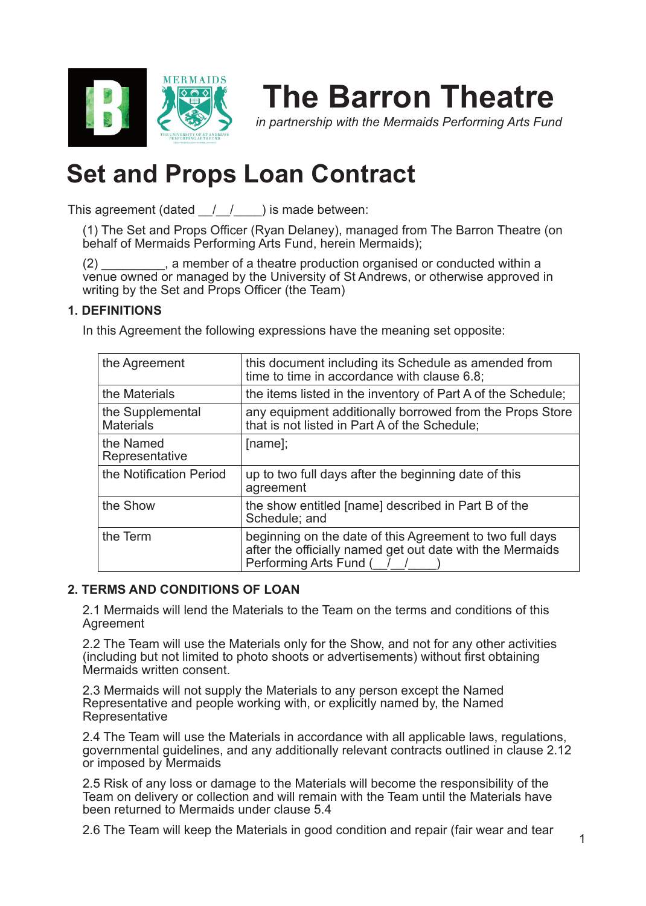

# **The Barron Theatre**

*in partnership with the Mermaids Performing Arts Fund*

# **Set and Props Loan Contract**

This agreement (dated  $\frac{1}{\sqrt{2}}$  ) is made between:

(1) The Set and Props Officer (Ryan Delaney), managed from The Barron Theatre (on behalf of Mermaids Performing Arts Fund, herein Mermaids);

(2) \_\_\_\_\_\_\_\_\_, a member of a theatre production organised or conducted within a venue owned or managed by the University of St Andrews, or otherwise approved in writing by the Set and Props Officer (the Team)

# **1. DEFINITIONS**

In this Agreement the following expressions have the meaning set opposite:

| the Agreement                        | this document including its Schedule as amended from<br>time to time in accordance with clause 6.8;                                             |
|--------------------------------------|-------------------------------------------------------------------------------------------------------------------------------------------------|
| the Materials                        | the items listed in the inventory of Part A of the Schedule;                                                                                    |
| the Supplemental<br><b>Materials</b> | any equipment additionally borrowed from the Props Store<br>that is not listed in Part A of the Schedule;                                       |
| the Named<br>Representative          | $[name]$ ;                                                                                                                                      |
| the Notification Period              | up to two full days after the beginning date of this<br>agreement                                                                               |
| the Show                             | the show entitled [name] described in Part B of the<br>Schedule; and                                                                            |
| the Term                             | beginning on the date of this Agreement to two full days<br>after the officially named get out date with the Mermaids<br>Performing Arts Fund ( |

# **2. TERMS AND CONDITIONS OF LOAN**

2.1 Mermaids will lend the Materials to the Team on the terms and conditions of this Agreement

2.2 The Team will use the Materials only for the Show, and not for any other activities (including but not limited to photo shoots or advertisements) without first obtaining Mermaids written consent.

2.3 Mermaids will not supply the Materials to any person except the Named Representative and people working with, or explicitly named by, the Named Representative

2.4 The Team will use the Materials in accordance with all applicable laws, regulations, governmental guidelines, and any additionally relevant contracts outlined in clause 2.12 or imposed by Mermaids

2.5 Risk of any loss or damage to the Materials will become the responsibility of the Team on delivery or collection and will remain with the Team until the Materials have been returned to Mermaids under clause 5.4

2.6 The Team will keep the Materials in good condition and repair (fair wear and tear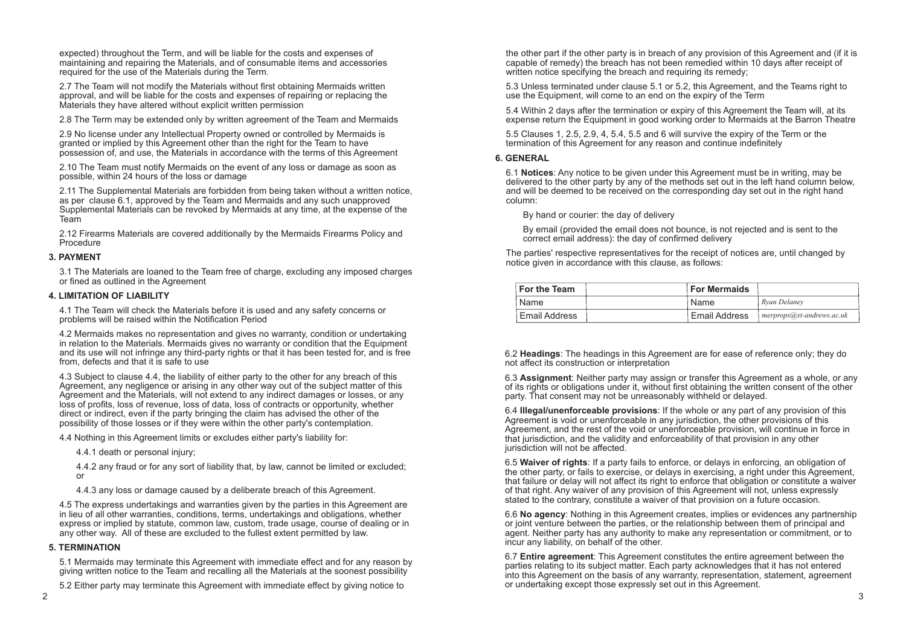expected) throughout the Term, and will be liable for the costs and expenses of maintaining and repairing the Materials, and of consumable items and accessories required for the use of the Materials during the Term.

2.7 The Team will not modify the Materials without first obtaining Mermaids written approval, and will be liable for the costs and expenses of repairing or replacing the Materials they have altered without explicit written permission

2.8 The Term may be extended only by written agreement of the Team and Mermaids

2.9 No license under any Intellectual Property owned or controlled by Mermaids is granted or implied by this Agreement other than the right for the Team to have possession of, and use, the Materials in accordance with the terms of this Agreement

2.10 The Team must notify Mermaids on the event of any loss or damage as soon as possible, within 24 hours of the loss or damage

2.11 The Supplemental Materials are forbidden from being taken without a written notice, as per clause 6.1, approved by the Team and Mermaids and any such unapproved Supplemental Materials can be revoked by Mermaids at any time, at the expense of the Team

2.12 Firearms Materials are covered additionally by the Mermaids Firearms Policy and Procedure

## **3. PAYMENT**

3.1 The Materials are loaned to the Team free of charge, excluding any imposed charges or fined as outlined in the Agreement

### **4. LIMITATION OF LIABILITY**

4.1 The Team will check the Materials before it is used and any safety concerns or problems will be raised within the Notification Period

the other part if the other party is in breach of any provision of this Agreement and (if it is capable of remedy) the breach has not been remedied within 10 days after receipt of written notice specifying the breach and requiring its remedy;

4.2 Mermaids makes no representation and gives no warranty, condition or undertaking in relation to the Materials. Mermaids gives no warranty or condition that the Equipment and its use will not infringe any third-party rights or that it has been tested for, and is free from, defects and that it is safe to use

4.3 Subject to clause 4.4, the liability of either party to the other for any breach of this Agreement, any negligence or arising in any other way out of the subject matter of this Agreement and the Materials, will not extend to any indirect damages or losses, or any loss of profits, loss of revenue, loss of data, loss of contracts or opportunity, whether direct or indirect, even if the party bringing the claim has advised the other of the possibility of those losses or if they were within the other party's contemplation.

4.4 Nothing in this Agreement limits or excludes either party's liability for:

4.4.1 death or personal injury;

4.4.2 any fraud or for any sort of liability that, by law, cannot be limited or excluded; or

4.4.3 any loss or damage caused by a deliberate breach of this Agreement.

4.5 The express undertakings and warranties given by the parties in this Agreement are in lieu of all other warranties, conditions, terms, undertakings and obligations, whether express or implied by statute, common law, custom, trade usage, course of dealing or in any other way. All of these are excluded to the fullest extent permitted by law.

### **5. TERMINATION**

5.1 Mermaids may terminate this Agreement with immediate effect and for any reason by giving written notice to the Team and recalling all the Materials at the soonest possibility

5.2 Either party may terminate this Agreement with immediate effect by giving notice to

5.3 Unless terminated under clause 5.1 or 5.2, this Agreement, and the Teams right to use the Equipment, will come to an end on the expiry of the Term

5.4 Within 2 days after the termination or expiry of this Agreement the Team will, at its expense return the Equipment in good working order to Mermaids at the Barron Theatre

5.5 Clauses 1, 2.5, 2.9, 4, 5.4, 5.5 and 6 will survive the expiry of the Term or the termination of this Agreement for any reason and continue indefinitely

#### **6. GENERAL**

6.1 **Notices**: Any notice to be given under this Agreement must be in writing, may be delivered to the other party by any of the methods set out in the left hand column below, and will be deemed to be received on the corresponding day set out in the right hand column:

By hand or courier: the day of delivery

By email (provided the email does not bounce, is not rejected and is sent to the correct email address): the day of confirmed delivery

The parties' respective representatives for the receipt of notices are, until changed by notice given in accordance with this clause, as follows:

6.2 **Headings**: The headings in this Agreement are for ease of reference only; they do not affect its construction or interpretation

6.3 **Assignment**: Neither party may assign or transfer this Agreement as a whole, or any of its rights or obligations under it, without first obtaining the written consent of the other party. That consent may not be unreasonably withheld or delayed.

6.4 **Illegal/unenforceable provisions**: If the whole or any part of any provision of this Agreement is void or unenforceable in any jurisdiction, the other provisions of this Agreement, and the rest of the void or unenforceable provision, will continue in force in that jurisdiction, and the validity and enforceability of that provision in any other jurisdiction will not be affected.

6.5 **Waiver of rights**: If a party fails to enforce, or delays in enforcing, an obligation of the other party, or fails to exercise, or delays in exercising, a right under this Agreement, that failure or delay will not affect its right to enforce that obligation or constitute a waiver of that right. Any waiver of any provision of this Agreement will not, unless expressly stated to the contrary, constitute a waiver of that provision on a future occasion.

6.6 **No agency**: Nothing in this Agreement creates, implies or evidences any partnership or joint venture between the parties, or the relationship between them of principal and agent. Neither party has any authority to make any representation or commitment, or to incur any liability, on behalf of the other.

6.7 **Entire agreement**: This Agreement constitutes the entire agreement between the parties relating to its subject matter. Each party acknowledges that it has not entered into this Agreement on the basis of any warranty, representation, statement, agreement or undertaking except those expressly set out in this Agreement.

| For the Team         | <b>For Mermaids</b>  |                                          |
|----------------------|----------------------|------------------------------------------|
| Name                 | Name                 | Rvan Delanev                             |
| <b>Email Address</b> | <b>Email Address</b> | $\blacksquare$ merprops@st-andrews.ac.uk |